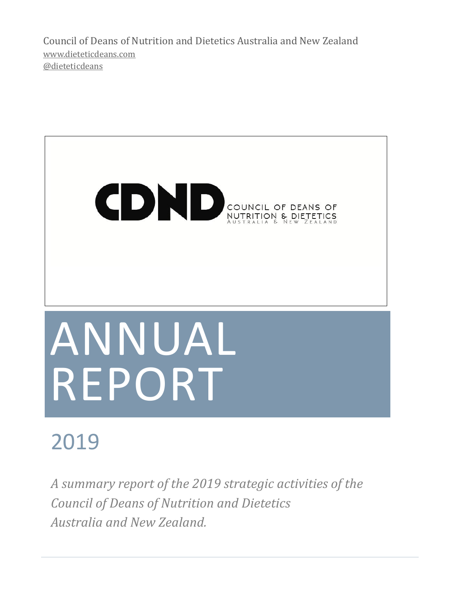Council of Deans of Nutrition and Dietetics Australia and New Zealand [www.dieteticdeans.com](http://dieteticdeans.com/) [@dieteticdeans](https://twitter.com/dieteticdeans)



# 2019

*A summary report of the 2019 strategic activities of the Council of Deans of Nutrition and Dietetics Australia and New Zealand.*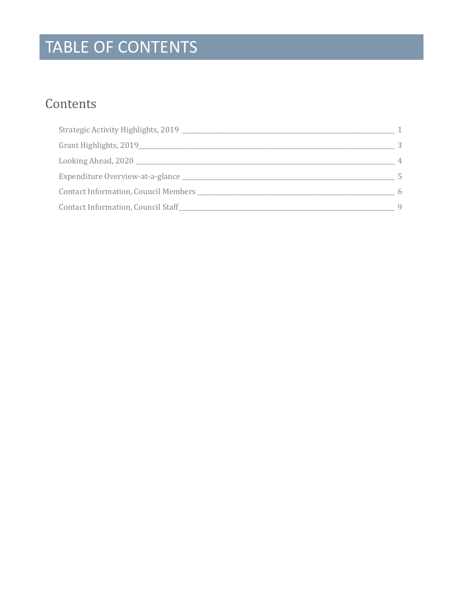# TABLE OF CONTENTS

### Contents

| Strategic Activity Highlights, 2019  |   |
|--------------------------------------|---|
| Grant Highlights, 2019               | 3 |
| Looking Ahead, 2020                  | 4 |
| Expenditure Overview-at-a-glance     |   |
| Contact Information, Council Members | 6 |
| Contact Information, Council Staff   | 9 |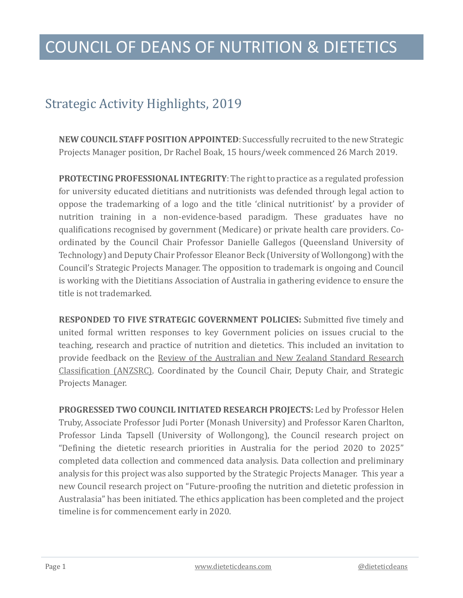#### <span id="page-2-0"></span>Strategic Activity Highlights, 2019

**NEW COUNCIL STAFF POSITION APPOINTED:** Successfully recruited to the new Strategic Projects Manager position, Dr Rachel Boak, 15 hours/week commenced 26 March 2019.

**PROTECTING PROFESSIONAL INTEGRITY**: The right to practice as a regulated profession for university educated dietitians and nutritionists was defended through legal action to oppose the trademarking of a logo and the title 'clinical nutritionist' by a provider of nutrition training in a non-evidence-based paradigm. These graduates have no qualifications recognised by government (Medicare) or private health care providers. Coordinated by the Council Chair Professor Danielle Gallegos (Queensland University of Technology) and Deputy Chair Professor Eleanor Beck (University of Wollongong) with the Council's Strategic Projects Manager. The opposition to trademark is ongoing and Council is working with the Dietitians Association of Australia in gathering evidence to ensure the title is not trademarked.

**RESPONDED TO FIVE STRATEGIC GOVERNMENT POLICIES:** Submitted five timely and united formal written responses to key Government policies on issues crucial to the teaching, research and practice of nutrition and dietetics. This included an invitation to provide feedback on the [Review of the Australian and New Zealand Standard Research](http://www.dieteticdeans.com/resources/ANZSRC%20review%20response%20CDND%20ANZ_06062019.pdf)  [Classification \(ANZSRC\).](http://www.dieteticdeans.com/resources/ANZSRC%20review%20response%20CDND%20ANZ_06062019.pdf) Coordinated by the Council Chair, Deputy Chair, and Strategic Projects Manager.

**PROGRESSED TWO COUNCIL INITIATED RESEARCH PROJECTS:** Led by Professor Helen Truby, Associate Professor Judi Porter (Monash University) and Professor Karen Charlton, Professor Linda Tapsell (University of Wollongong), the Council research project on "Defining the dietetic research priorities in Australia for the period 2020 to 2025" completed data collection and commenced data analysis. Data collection and preliminary analysis for this project was also supported by the Strategic Projects Manager. This year a new Council research project on "Future-proofing the nutrition and dietetic profession in Australasia" has been initiated. The ethics application has been completed and the project timeline is for commencement early in 2020.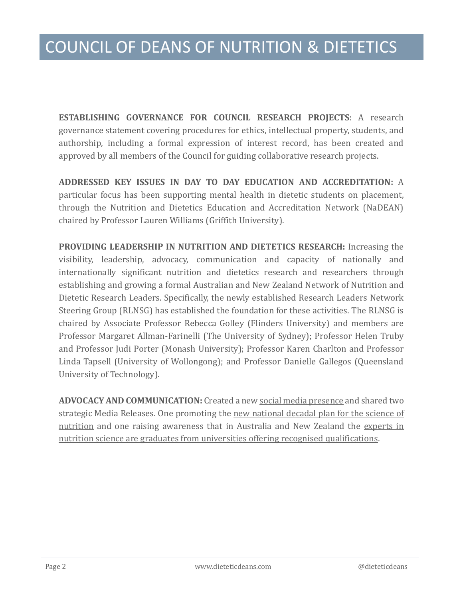**ESTABLISHING GOVERNANCE FOR COUNCIL RESEARCH PROJECTS**: A research governance statement covering procedures for ethics, intellectual property, students, and authorship, including a formal expression of interest record, has been created and approved by all members of the Council for guiding collaborative research projects.

**ADDRESSED KEY ISSUES IN DAY TO DAY EDUCATION AND ACCREDITATION:** A particular focus has been supporting mental health in dietetic students on placement, through the Nutrition and Dietetics Education and Accreditation Network (NaDEAN) chaired by Professor Lauren Williams (Griffith University).

**PROVIDING LEADERSHIP IN NUTRITION AND DIETETICS RESEARCH:** Increasing the visibility, leadership, advocacy, communication and capacity of nationally and internationally significant nutrition and dietetics research and researchers through establishing and growing a formal Australian and New Zealand Network of Nutrition and Dietetic Research Leaders. Specifically, the newly established Research Leaders Network Steering Group (RLNSG) has established the foundation for these activities. The RLNSG is chaired by Associate Professor Rebecca Golley (Flinders University) and members are Professor Margaret Allman-Farinelli (The University of Sydney); Professor Helen Truby and Professor Judi Porter (Monash University); Professor Karen Charlton and Professor Linda Tapsell (University of Wollongong); and Professor Danielle Gallegos (Queensland University of Technology).

**ADVOCACY AND COMMUNICATION:** Created a ne[w social media presence](https://twitter.com/dieteticdeans) and shared two strategic Media Releases. One promoting the new national decadal plan for the science of [nutrition](http://www.dieteticdeans.com/resources/MEDIA%20RELEASE_DecadalPlan_CDND_Final.pdf) and one raising awareness that in Australia and New Zealand the [experts in](http://www.dieteticdeans.com/resources/MEDIA%20RELEASE_2019NutritionWeek_CDND_FINAL.pdf)  [nutrition science are graduates from universities offering recognised qualifications.](http://www.dieteticdeans.com/resources/MEDIA%20RELEASE_2019NutritionWeek_CDND_FINAL.pdf)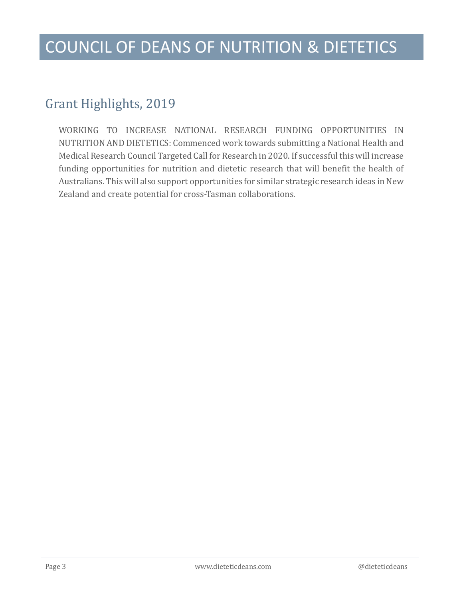#### <span id="page-4-0"></span>Grant Highlights, 2019

WORKING TO INCREASE NATIONAL RESEARCH FUNDING OPPORTUNITIES IN NUTRITION AND DIETETICS: Commenced work towards submitting a National Health and Medical Research Council Targeted Call for Research in 2020. If successful this will increase funding opportunities for nutrition and dietetic research that will benefit the health of Australians. This will also support opportunities for similar strategic research ideas in New Zealand and create potential for cross-Tasman collaborations.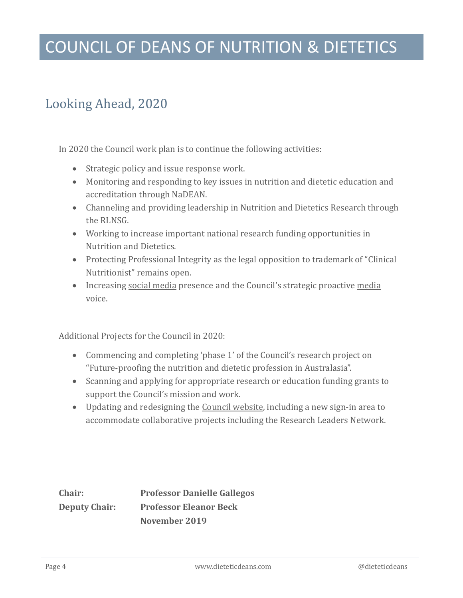#### <span id="page-5-0"></span>Looking Ahead, 2020

In 2020 the Council work plan is to continue the following activities:

- Strategic policy and issue response work.
- Monitoring and responding to key issues in nutrition and dietetic education and accreditation through NaDEAN.
- Channeling and providing leadership in Nutrition and Dietetics Research through the RLNSG.
- Working to increase important national research funding opportunities in Nutrition and Dietetics.
- Protecting Professional Integrity as the legal opposition to trademark of "Clinical Nutritionist" remains open.
- Increasing [social media](https://twitter.com/dieteticdeans) presence and the Council's strategic proactive [media](http://www.dieteticdeans.com/news-links-and-contacts.php) voice.

Additional Projects for the Council in 2020:

- Commencing and completing 'phase 1' of the Council's research project on "Future-proofing the nutrition and dietetic profession in Australasia".
- Scanning and applying for appropriate research or education funding grants to support the Council's mission and work.
- Updating and redesigning the [Council website,](http://www.dieteticdeans.com/) including a new sign-in area to accommodate collaborative projects including the Research Leaders Network.

**Chair: Professor Danielle Gallegos Deputy Chair: Professor Eleanor Beck November 2019**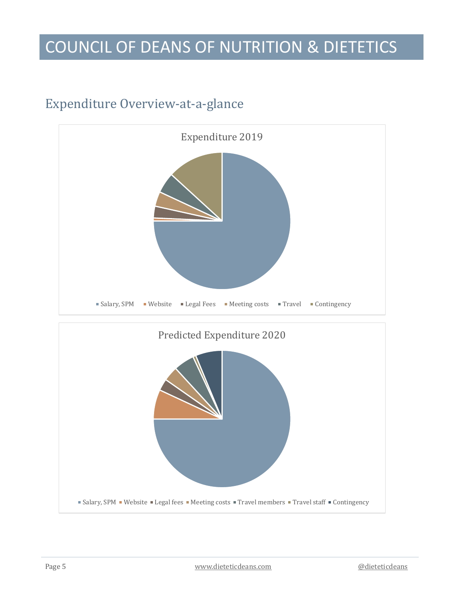#### <span id="page-6-0"></span>Expenditure Overview-at-a-glance

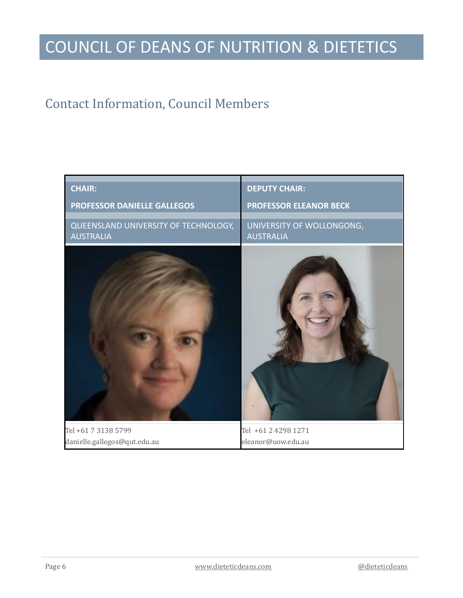#### <span id="page-7-0"></span>Contact Information, Council Members

| <b>CHAIR:</b>                                            | <b>DEPUTY CHAIR:</b>                          |
|----------------------------------------------------------|-----------------------------------------------|
| PROFESSOR DANIELLE GALLEGOS                              | <b>PROFESSOR ELEANOR BECK</b>                 |
| QUEENSLAND UNIVERSITY OF TECHNOLOGY,<br><b>AUSTRALIA</b> | UNIVERSITY OF WOLLONGONG,<br><b>AUSTRALIA</b> |
|                                                          |                                               |
| Tel +61 7 3138 5799                                      | Tel +61 2 4298 1271                           |
| danielle.gallegos@qut.edu.au                             | eleanor@uow.edu.au                            |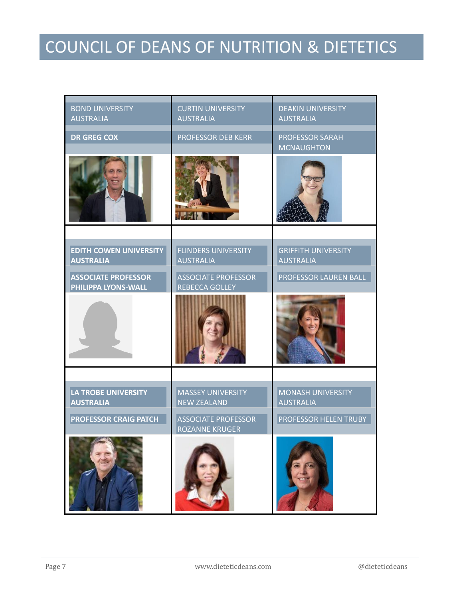| <b>BOND UNIVERSITY</b><br><b>AUSTRALIA</b>        | <b>CURTIN UNIVERSITY</b><br><b>AUSTRALIA</b>        | <b>DEAKIN UNIVERSITY</b><br><b>AUSTRALIA</b>   |
|---------------------------------------------------|-----------------------------------------------------|------------------------------------------------|
| <b>DR GREG COX</b>                                | <b>PROFESSOR DEB KERR</b>                           | <b>PROFESSOR SARAH</b><br><b>MCNAUGHTON</b>    |
|                                                   |                                                     |                                                |
|                                                   |                                                     |                                                |
| <b>EDITH COWEN UNIVERSITY</b><br><b>AUSTRALIA</b> | <b>FLINDERS UNIVERSITY</b><br><b>AUSTRALIA</b>      | <b>GRIFFITH UNIVERSITY</b><br><b>AUSTRALIA</b> |
| <b>ASSOCIATE PROFESSOR</b><br>PHILIPPA LYONS-WALL | <b>ASSOCIATE PROFESSOR</b><br><b>REBECCA GOLLEY</b> | PROFESSOR LAUREN BALL                          |
|                                                   |                                                     |                                                |
|                                                   |                                                     |                                                |
| <b>LA TROBE UNIVERSITY</b><br><b>AUSTRALIA</b>    | <b>MASSEY UNIVERSITY</b><br><b>NEW ZEALAND</b>      | <b>MONASH UNIVERSITY</b><br><b>AUSTRALIA</b>   |
| <b>PROFESSOR CRAIG PATCH</b>                      | <b>ASSOCIATE PROFESSOR</b><br><b>ROZANNE KRUGER</b> | PROFESSOR HELEN TRUBY                          |
|                                                   |                                                     |                                                |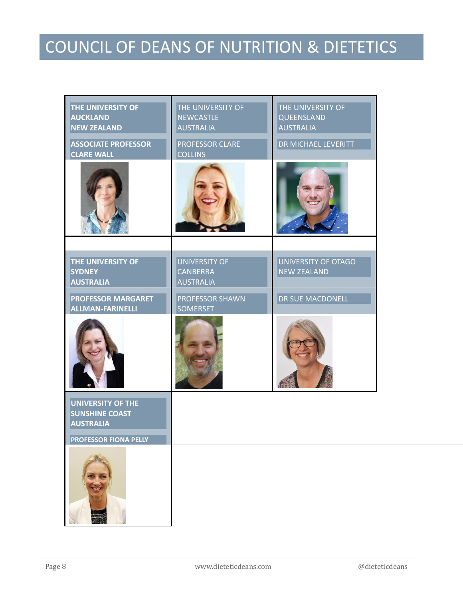| THE UNIVERSITY OF<br><b>AUCKLAND</b><br><b>NEW ZEALAND</b>    | THE UNIVERSITY OF<br><b>NEWCASTLE</b><br><b>AUSTRALIA</b>   | THE UNIVERSITY OF<br>QUEENSLAND<br><b>AUSTRALIA</b> |
|---------------------------------------------------------------|-------------------------------------------------------------|-----------------------------------------------------|
| <b>ASSOCIATE PROFESSOR</b><br><b>CLARE WALL</b>               | <b>PROFESSOR CLARE</b><br><b>COLLINS</b>                    | <b>DR MICHAEL LEVERITT</b>                          |
|                                                               |                                                             |                                                     |
|                                                               |                                                             |                                                     |
| <b>THE UNIVERSITY OF</b><br><b>SYDNEY</b><br><b>AUSTRALIA</b> | <b>UNIVERSITY OF</b><br><b>CANBERRA</b><br><b>AUSTRALIA</b> | <b>UNIVERSITY OF OTAGO</b><br><b>NEW ZEALAND</b>    |
| <b>PROFESSOR MARGARET</b><br><b>ALLMAN-FARINELLI</b>          | <b>PROFESSOR SHAWN</b><br><b>SOMERSET</b>                   | DR SUE MACDONELL                                    |
|                                                               |                                                             |                                                     |
| <b>UNIVERSITY OF THE</b>                                      |                                                             |                                                     |
| <b>SUNSHINE COAST</b><br><b>AUSTRALIA</b>                     |                                                             |                                                     |
| <b>PROFESSOR FIONA PELLY</b>                                  |                                                             |                                                     |
|                                                               |                                                             |                                                     |